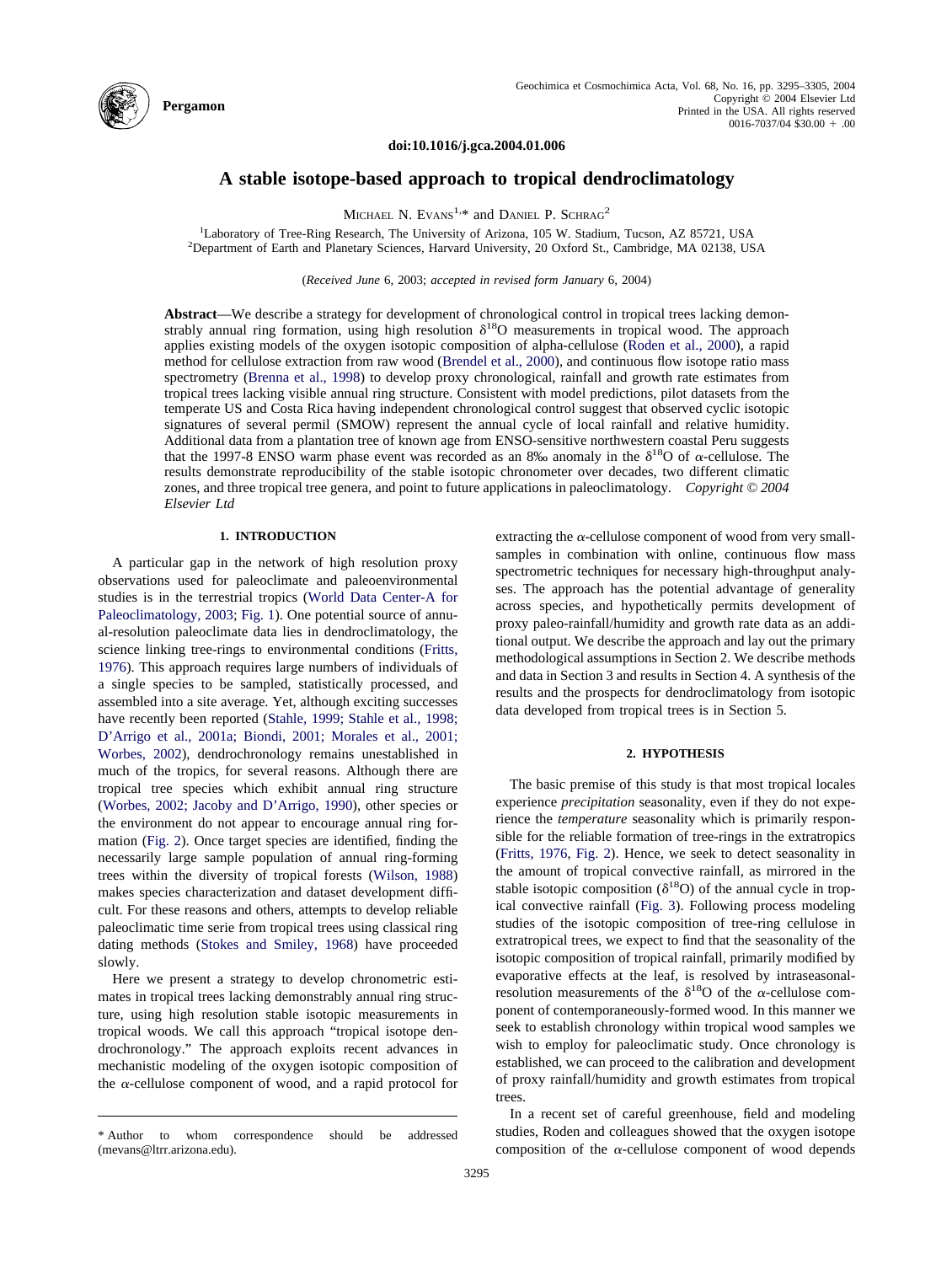

**doi:10.1016/j.gca.2004.01.006**

# **A stable isotope-based approach to tropical dendroclimatology**

MICHAEL N. EVANS<sup>1,\*</sup> and DANIEL P. SCHRAG<sup>2</sup>

<sup>1</sup>Laboratory of Tree-Ring Research, The University of Arizona, 105 W. Stadium, Tucson, AZ 85721, USA<br><sup>2</sup>Department of Earth and Planetary Sciences, Harvard University, 20 Oxford St. Cambridge, MA 02138, US <sup>2</sup>Department of Earth and Planetary Sciences, Harvard University, 20 Oxford St., Cambridge, MA 02138, USA

(*Received June* 6, 2003; *accepted in revised form January* 6, 2004)

**Abstract**—We describe a strategy for development of chronological control in tropical trees lacking demonstrably annual ring formation, using high resolution  $\delta^{18}O$  measurements in tropical wood. The approach applies existing models of the oxygen isotopic composition of alpha-cellulose [\(Roden et al., 2000\)](#page-10-0), a rapid method for cellulose extraction from raw wood [\(Brendel et al., 2000\)](#page-9-0), and continuous flow isotope ratio mass spectrometry [\(Brenna et al., 1998\)](#page-9-0) to develop proxy chronological, rainfall and growth rate estimates from tropical trees lacking visible annual ring structure. Consistent with model predictions, pilot datasets from the temperate US and Costa Rica having independent chronological control suggest that observed cyclic isotopic signatures of several permil (SMOW) represent the annual cycle of local rainfall and relative humidity. Additional data from a plantation tree of known age from ENSO-sensitive northwestern coastal Peru suggests that the 1997-8 ENSO warm phase event was recorded as an 8‰ anomaly in the  $\delta^{18}O$  of  $\alpha$ -cellulose. The results demonstrate reproducibility of the stable isotopic chronometer over decades, two different climatic zones, and three tropical tree genera, and point to future applications in paleoclimatology. *Copyright © 2004 Elsevier Ltd*

#### **1. INTRODUCTION**

A particular gap in the network of high resolution proxy observations used for paleoclimate and paleoenvironmental studies is in the terrestrial tropics [\(World Data Center-A for](#page-10-0) [Paleoclimatology, 2003;](#page-10-0) [Fig. 1\)](#page-1-0). One potential source of annual-resolution paleoclimate data lies in dendroclimatology, the science linking tree-rings to environmental conditions [\(Fritts,](#page-9-0) [1976\)](#page-9-0). This approach requires large numbers of individuals of a single species to be sampled, statistically processed, and assembled into a site average. Yet, although exciting successes have recently been reported [\(Stahle, 1999; Stahle et al., 1998;](#page-9-0) [D'Arrigo et al., 2001a; Biondi, 2001; Morales et al., 2001;](#page-9-0) [Worbes, 2002\)](#page-9-0), dendrochronology remains unestablished in much of the tropics, for several reasons. Although there are tropical tree species which exhibit annual ring structure [\(Worbes, 2002; Jacoby and D'Arrigo, 1990\)](#page-10-0), other species or the environment do not appear to encourage annual ring formation [\(Fig. 2\)](#page-1-0). Once target species are identified, finding the necessarily large sample population of annual ring-forming trees within the diversity of tropical forests [\(Wilson, 1988\)](#page-10-0) makes species characterization and dataset development difficult. For these reasons and others, attempts to develop reliable paleoclimatic time serie from tropical trees using classical ring dating methods [\(Stokes and Smiley, 1968\)](#page-10-0) have proceeded slowly.

Here we present a strategy to develop chronometric estimates in tropical trees lacking demonstrably annual ring structure, using high resolution stable isotopic measurements in tropical woods. We call this approach "tropical isotope dendrochronology." The approach exploits recent advances in mechanistic modeling of the oxygen isotopic composition of the  $\alpha$ -cellulose component of wood, and a rapid protocol for

extracting the  $\alpha$ -cellulose component of wood from very smallsamples in combination with online, continuous flow mass spectrometric techniques for necessary high-throughput analyses. The approach has the potential advantage of generality across species, and hypothetically permits development of proxy paleo-rainfall/humidity and growth rate data as an additional output. We describe the approach and lay out the primary methodological assumptions in Section 2. We describe methods and data in Section 3 and results in Section 4. A synthesis of the results and the prospects for dendroclimatology from isotopic data developed from tropical trees is in Section 5.

# **2. HYPOTHESIS**

The basic premise of this study is that most tropical locales experience *precipitation* seasonality, even if they do not experience the *temperature* seasonality which is primarily responsible for the reliable formation of tree-rings in the extratropics [\(Fritts, 1976,](#page-9-0) [Fig. 2\)](#page-1-0). Hence, we seek to detect seasonality in the amount of tropical convective rainfall, as mirrored in the stable isotopic composition ( $\delta^{18}O$ ) of the annual cycle in tropical convective rainfall [\(Fig. 3\)](#page-1-0). Following process modeling studies of the isotopic composition of tree-ring cellulose in extratropical trees, we expect to find that the seasonality of the isotopic composition of tropical rainfall, primarily modified by evaporative effects at the leaf, is resolved by intraseasonalresolution measurements of the  $\delta^{18}$ O of the  $\alpha$ -cellulose component of contemporaneously-formed wood. In this manner we seek to establish chronology within tropical wood samples we wish to employ for paleoclimatic study. Once chronology is established, we can proceed to the calibration and development of proxy rainfall/humidity and growth estimates from tropical trees.

In a recent set of careful greenhouse, field and modeling studies, Roden and colleagues showed that the oxygen isotope composition of the  $\alpha$ -cellulose component of wood depends

<sup>\*</sup> Author to whom correspondence should be addressed (mevans@ltrr.arizona.edu).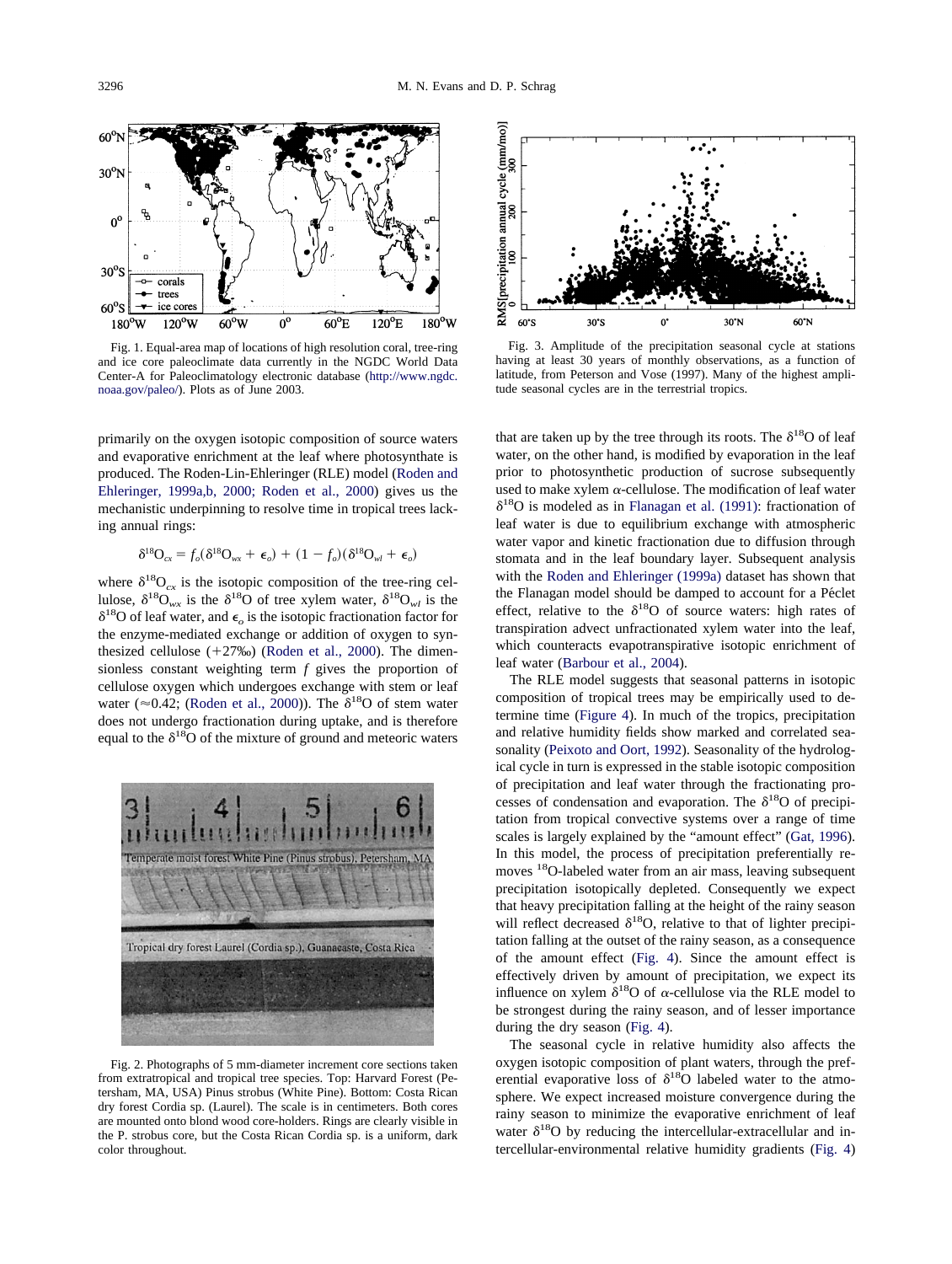<span id="page-1-0"></span>

Fig. 1. Equal-area map of locations of high resolution coral, tree-ring and ice core paleoclimate data currently in the NGDC World Data Center-A for Paleoclimatology electronic database [\(http://www.ngdc.](http://www.ngdc.noaa.gov/paleo/) [noaa.gov/paleo/\)](http://www.ngdc.noaa.gov/paleo/). Plots as of June 2003.

primarily on the oxygen isotopic composition of source waters and evaporative enrichment at the leaf where photosynthate is produced. The Roden-Lin-Ehleringer (RLE) model [\(Roden and](#page-10-0) [Ehleringer, 1999a,b, 2000; Roden et al., 2000\)](#page-10-0) gives us the mechanistic underpinning to resolve time in tropical trees lacking annual rings:

$$
\delta^{18}O_{cx} = f_o(\delta^{18}O_{wx} + \epsilon_o) + (1 - f_o)(\delta^{18}O_{wl} + \epsilon_o)
$$

where  $\delta^{18}O_{cx}$  is the isotopic composition of the tree-ring cellulose,  $\delta^{18}O_{wx}$  is the  $\delta^{18}O$  of tree xylem water,  $\delta^{18}O_{wl}$  is the  $\delta^{18}$ O of leaf water, and  $\epsilon_{\alpha}$  is the isotopic fractionation factor for the enzyme-mediated exchange or addition of oxygen to synthesized cellulose  $(+27\%)$  [\(Roden et al., 2000\)](#page-10-0). The dimensionless constant weighting term *f* gives the proportion of cellulose oxygen which undergoes exchange with stem or leaf water ( $\approx$ 0.42; [\(Roden et al., 2000\)](#page-10-0)). The  $\delta$ <sup>18</sup>O of stem water does not undergo fractionation during uptake, and is therefore equal to the  $\delta^{18}$ O of the mixture of ground and meteoric waters



Fig. 2. Photographs of 5 mm-diameter increment core sections taken from extratropical and tropical tree species. Top: Harvard Forest (Petersham, MA, USA) Pinus strobus (White Pine). Bottom: Costa Rican dry forest Cordia sp. (Laurel). The scale is in centimeters. Both cores are mounted onto blond wood core-holders. Rings are clearly visible in the P. strobus core, but the Costa Rican Cordia sp. is a uniform, dark color throughout.



Fig. 3. Amplitude of the precipitation seasonal cycle at stations having at least 30 years of monthly observations, as a function of latitude, from Peterson and Vose (1997). Many of the highest amplitude seasonal cycles are in the terrestrial tropics.

that are taken up by the tree through its roots. The  $\delta^{18}O$  of leaf water, on the other hand, is modified by evaporation in the leaf prior to photosynthetic production of sucrose subsequently used to make xylem  $\alpha$ -cellulose. The modification of leaf water  $\delta^{18}$ O is modeled as in [Flanagan et al. \(1991\):](#page-9-0) fractionation of leaf water is due to equilibrium exchange with atmospheric water vapor and kinetic fractionation due to diffusion through stomata and in the leaf boundary layer. Subsequent analysis with the [Roden and Ehleringer \(1999a\)](#page-10-0) dataset has shown that the Flanagan model should be damped to account for a Péclet effect, relative to the  $\delta^{18}O$  of source waters: high rates of transpiration advect unfractionated xylem water into the leaf, which counteracts evapotranspirative isotopic enrichment of leaf water [\(Barbour et al., 2004\)](#page-9-0).

The RLE model suggests that seasonal patterns in isotopic composition of tropical trees may be empirically used to determine time [\(Figure 4\)](#page-2-0). In much of the tropics, precipitation and relative humidity fields show marked and correlated seasonality [\(Peixoto and Oort, 1992\)](#page-10-0). Seasonality of the hydrological cycle in turn is expressed in the stable isotopic composition of precipitation and leaf water through the fractionating processes of condensation and evaporation. The  $\delta^{18}$ O of precipitation from tropical convective systems over a range of time scales is largely explained by the "amount effect" [\(Gat, 1996\)](#page-9-0). In this model, the process of precipitation preferentially removes 18O-labeled water from an air mass, leaving subsequent precipitation isotopically depleted. Consequently we expect that heavy precipitation falling at the height of the rainy season will reflect decreased  $\delta^{18}O$ , relative to that of lighter precipitation falling at the outset of the rainy season, as a consequence of the amount effect [\(Fig. 4\)](#page-2-0). Since the amount effect is effectively driven by amount of precipitation, we expect its influence on xylem  $\delta^{18}$ O of  $\alpha$ -cellulose via the RLE model to be strongest during the rainy season, and of lesser importance during the dry season [\(Fig. 4\)](#page-2-0).

The seasonal cycle in relative humidity also affects the oxygen isotopic composition of plant waters, through the preferential evaporative loss of  $\delta^{18}$ O labeled water to the atmosphere. We expect increased moisture convergence during the rainy season to minimize the evaporative enrichment of leaf water  $\delta^{18}O$  by reducing the intercellular-extracellular and intercellular-environmental relative humidity gradients [\(Fig. 4\)](#page-2-0)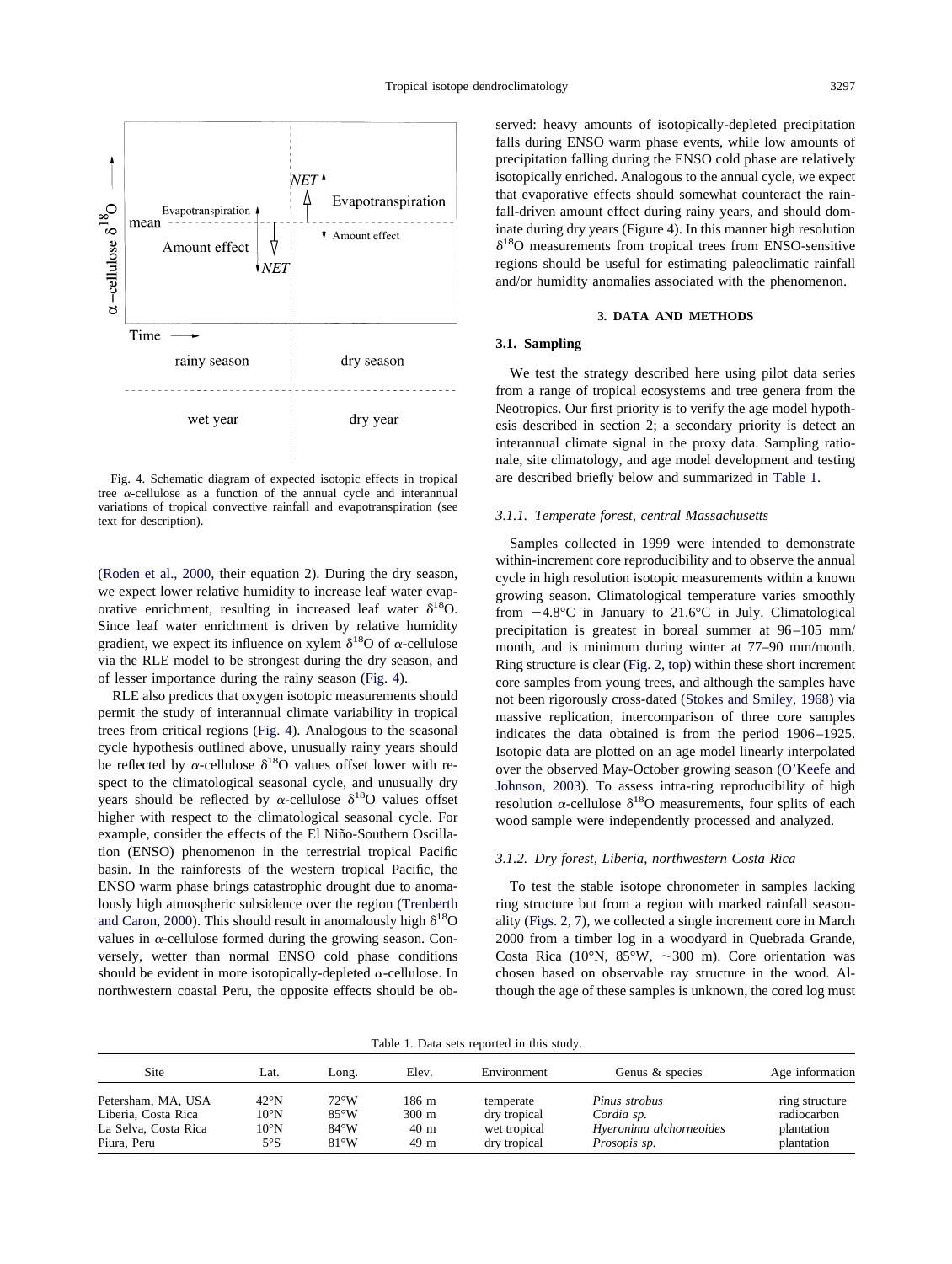<span id="page-2-0"></span>

Fig. 4. Schematic diagram of expected isotopic effects in tropical tree  $\alpha$ -cellulose as a function of the annual cycle and interannual variations of tropical convective rainfall and evapotranspiration (see text for description).

[\(Roden et al., 2000,](#page-10-0) their equation 2). During the dry season, we expect lower relative humidity to increase leaf water evaporative enrichment, resulting in increased leaf water  $\delta^{18}O$ . Since leaf water enrichment is driven by relative humidity gradient, we expect its influence on xylem  $\delta^{18}$ O of  $\alpha$ -cellulose via the RLE model to be strongest during the dry season, and of lesser importance during the rainy season (Fig. 4).

RLE also predicts that oxygen isotopic measurements should permit the study of interannual climate variability in tropical trees from critical regions (Fig. 4). Analogous to the seasonal cycle hypothesis outlined above, unusually rainy years should be reflected by  $\alpha$ -cellulose  $\delta^{18}$ O values offset lower with respect to the climatological seasonal cycle, and unusually dry years should be reflected by  $\alpha$ -cellulose  $\delta^{18}$ O values offset higher with respect to the climatological seasonal cycle. For example, consider the effects of the El Niño-Southern Oscillation (ENSO) phenomenon in the terrestrial tropical Pacific basin. In the rainforests of the western tropical Pacific, the ENSO warm phase brings catastrophic drought due to anomalously high atmospheric subsidence over the region [\(Trenberth](#page-10-0) [and Caron, 2000\)](#page-10-0). This should result in anomalously high  $\delta^{18}O$ values in  $\alpha$ -cellulose formed during the growing season. Conversely, wetter than normal ENSO cold phase conditions should be evident in more isotopically-depleted  $\alpha$ -cellulose. In northwestern coastal Peru, the opposite effects should be ob-

served: heavy amounts of isotopically-depleted precipitation falls during ENSO warm phase events, while low amounts of precipitation falling during the ENSO cold phase are relatively isotopically enriched. Analogous to the annual cycle, we expect that evaporative effects should somewhat counteract the rainfall-driven amount effect during rainy years, and should dominate during dry years (Figure 4). In this manner high resolution  $\delta^{18}$ O measurements from tropical trees from ENSO-sensitive regions should be useful for estimating paleoclimatic rainfall and/or humidity anomalies associated with the phenomenon.

# **3. DATA AND METHODS**

### **3.1. Sampling**

We test the strategy described here using pilot data series from a range of tropical ecosystems and tree genera from the Neotropics. Our first priority is to verify the age model hypothesis described in section 2; a secondary priority is detect an interannual climate signal in the proxy data. Sampling rationale, site climatology, and age model development and testing are described briefly below and summarized in Table 1.

#### *3.1.1. Temperate forest, central Massachusetts*

Samples collected in 1999 were intended to demonstrate within-increment core reproducibility and to observe the annual cycle in high resolution isotopic measurements within a known growing season. Climatological temperature varies smoothly from  $-4.8$ °C in January to 21.6°C in July. Climatological precipitation is greatest in boreal summer at 96–105 mm/ month, and is minimum during winter at 77–90 mm/month. Ring structure is clear [\(Fig. 2, top\)](#page-1-0) within these short increment core samples from young trees, and although the samples have not been rigorously cross-dated [\(Stokes and Smiley, 1968\)](#page-10-0) via massive replication, intercomparison of three core samples indicates the data obtained is from the period 1906–1925. Isotopic data are plotted on an age model linearly interpolated over the observed May-October growing season [\(O'Keefe and](#page-10-0) [Johnson, 2003\)](#page-10-0). To assess intra-ring reproducibility of high resolution  $\alpha$ -cellulose  $\delta^{18}$ O measurements, four splits of each wood sample were independently processed and analyzed.

### *3.1.2. Dry forest, Liberia, northwestern Costa Rica*

To test the stable isotope chronometer in samples lacking ring structure but from a region with marked rainfall seasonality [\(Figs. 2,](#page-1-0) [7\)](#page-7-0), we collected a single increment core in March 2000 from a timber log in a woodyard in Quebrada Grande, Costa Rica (10°N, 85°W,  $\sim$ 300 m). Core orientation was chosen based on observable ray structure in the wood. Although the age of these samples is unknown, the cored log must

Table 1. Data sets reported in this study.

| Site                 | Lat.           | Long.          | Elev.           | Environment  | Genus & species         | Age information |
|----------------------|----------------|----------------|-----------------|--------------|-------------------------|-----------------|
| Petersham, MA, USA   | $42^{\circ}$ N | $72^{\circ}W$  | 186 m           | temperate    | Pinus strobus           | ring structure  |
| Liberia, Costa Rica  | $10^{\circ}$ N | $85^{\circ}$ W | $300 \text{ m}$ | dry tropical | Cordia sp.              | radiocarbon     |
| La Selva, Costa Rica | $10^{\circ}$ N | $84^{\circ}$ W | 40 <sub>m</sub> | wet tropical | Hyeronima alchorneoides | plantation      |
| Piura, Peru          | $5^{\circ}$ S  | $81^{\circ}$ W | 49 m            | dry tropical | Prosopis sp.            | plantation      |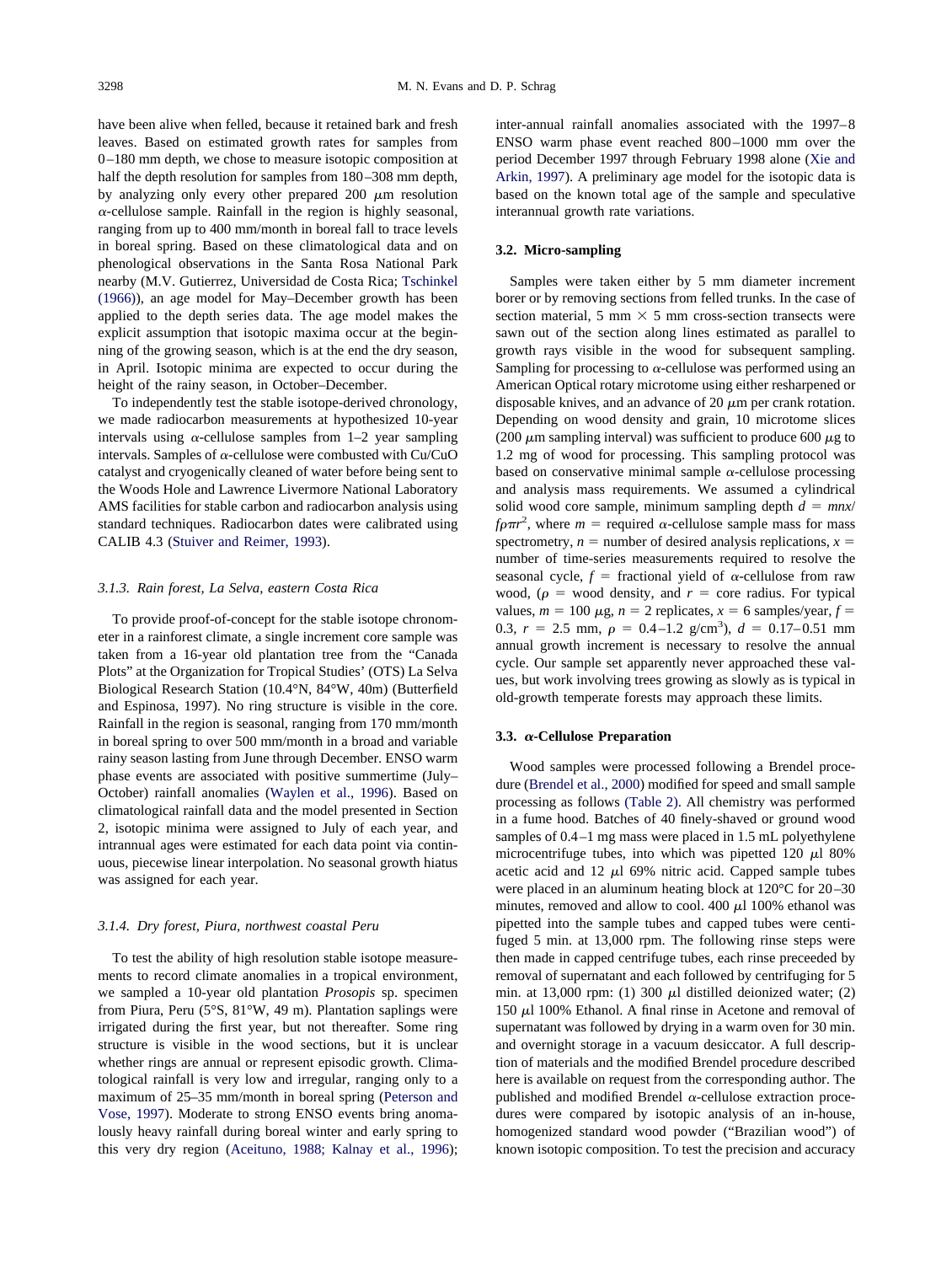have been alive when felled, because it retained bark and fresh leaves. Based on estimated growth rates for samples from 0–180 mm depth, we chose to measure isotopic composition at half the depth resolution for samples from  $180-308$  mm depth, by analyzing only every other prepared 200  $\mu$ m resolution  $\alpha$ -cellulose sample. Rainfall in the region is highly seasonal, ranging from up to 400 mm/month in boreal fall to trace levels in boreal spring. Based on these climatological data and on phenological observations in the Santa Rosa National Park nearby (M.V. Gutierrez, Universidad de Costa Rica; [Tschinkel](#page-10-0) [\(1966\)\)](#page-10-0), an age model for May–December growth has been applied to the depth series data. The age model makes the explicit assumption that isotopic maxima occur at the beginning of the growing season, which is at the end the dry season, in April. Isotopic minima are expected to occur during the height of the rainy season, in October–December.

To independently test the stable isotope-derived chronology, we made radiocarbon measurements at hypothesized 10-year intervals using  $\alpha$ -cellulose samples from 1-2 year sampling intervals. Samples of  $\alpha$ -cellulose were combusted with Cu/CuO catalyst and cryogenically cleaned of water before being sent to the Woods Hole and Lawrence Livermore National Laboratory AMS facilities for stable carbon and radiocarbon analysis using standard techniques. Radiocarbon dates were calibrated using CALIB 4.3 [\(Stuiver and Reimer, 1993\)](#page-10-0).

#### *3.1.3. Rain forest, La Selva, eastern Costa Rica*

To provide proof-of-concept for the stable isotope chronometer in a rainforest climate, a single increment core sample was taken from a 16-year old plantation tree from the "Canada Plots" at the Organization for Tropical Studies' (OTS) La Selva Biological Research Station (10.4°N, 84°W, 40m) (Butterfield and Espinosa, 1997). No ring structure is visible in the core. Rainfall in the region is seasonal, ranging from 170 mm/month in boreal spring to over 500 mm/month in a broad and variable rainy season lasting from June through December. ENSO warm phase events are associated with positive summertime (July– October) rainfall anomalies [\(Waylen et al., 1996\)](#page-10-0). Based on climatological rainfall data and the model presented in Section 2, isotopic minima were assigned to July of each year, and intrannual ages were estimated for each data point via continuous, piecewise linear interpolation. No seasonal growth hiatus was assigned for each year.

#### *3.1.4. Dry forest, Piura, northwest coastal Peru*

To test the ability of high resolution stable isotope measurements to record climate anomalies in a tropical environment, we sampled a 10-year old plantation *Prosopis* sp. specimen from Piura, Peru (5°S, 81°W, 49 m). Plantation saplings were irrigated during the first year, but not thereafter. Some ring structure is visible in the wood sections, but it is unclear whether rings are annual or represent episodic growth. Climatological rainfall is very low and irregular, ranging only to a maximum of 25–35 mm/month in boreal spring [\(Peterson and](#page-10-0) [Vose, 1997\)](#page-10-0). Moderate to strong ENSO events bring anomalously heavy rainfall during boreal winter and early spring to this very dry region [\(Aceituno, 1988; Kalnay et al., 1996\)](#page-9-0);

inter-annual rainfall anomalies associated with the 1997–8 ENSO warm phase event reached 800–1000 mm over the period December 1997 through February 1998 alone [\(Xie and](#page-10-0) [Arkin, 1997\)](#page-10-0). A preliminary age model for the isotopic data is based on the known total age of the sample and speculative interannual growth rate variations.

### **3.2. Micro-sampling**

Samples were taken either by 5 mm diameter increment borer or by removing sections from felled trunks. In the case of section material, 5 mm  $\times$  5 mm cross-section transects were sawn out of the section along lines estimated as parallel to growth rays visible in the wood for subsequent sampling. Sampling for processing to  $\alpha$ -cellulose was performed using an American Optical rotary microtome using either resharpened or disposable knives, and an advance of 20  $\mu$ m per crank rotation. Depending on wood density and grain, 10 microtome slices (200  $\mu$ m sampling interval) was sufficient to produce 600  $\mu$ g to 1.2 mg of wood for processing. This sampling protocol was based on conservative minimal sample  $\alpha$ -cellulose processing and analysis mass requirements. We assumed a cylindrical solid wood core sample, minimum sampling depth  $d = mnx/$  $f \rho \pi r^2$ , where  $m =$  required  $\alpha$ -cellulose sample mass for mass spectrometry,  $n =$  number of desired analysis replications,  $x =$ number of time-series measurements required to resolve the seasonal cycle,  $f =$  fractional yield of  $\alpha$ -cellulose from raw wood, ( $\rho$  = wood density, and  $r$  = core radius. For typical values,  $m = 100 \mu$ g,  $n = 2$  replicates,  $x = 6$  samples/year,  $f =$ 0.3,  $r = 2.5$  mm,  $\rho = 0.4 - 1.2$  g/cm<sup>3</sup>),  $d = 0.17 - 0.51$  mm annual growth increment is necessary to resolve the annual cycle. Our sample set apparently never approached these values, but work involving trees growing as slowly as is typical in old-growth temperate forests may approach these limits.

### **3.3. -Cellulose Preparation**

Wood samples were processed following a Brendel procedure [\(Brendel et al., 2000\)](#page-9-0) modified for speed and small sample processing as follows [\(Table 2\).](#page-4-0) All chemistry was performed in a fume hood. Batches of 40 finely-shaved or ground wood samples of 0.4–1 mg mass were placed in 1.5 mL polyethylene microcentrifuge tubes, into which was pipetted 120  $\mu$ l 80% acetic acid and 12  $\mu$ l 69% nitric acid. Capped sample tubes were placed in an aluminum heating block at 120°C for 20–30 minutes, removed and allow to cool. 400  $\mu$ 1 100% ethanol was pipetted into the sample tubes and capped tubes were centifuged 5 min. at 13,000 rpm. The following rinse steps were then made in capped centrifuge tubes, each rinse preceeded by removal of supernatant and each followed by centrifuging for 5 min. at 13,000 rpm: (1) 300  $\mu$ l distilled deionized water; (2) 150  $\mu$ l 100% Ethanol. A final rinse in Acetone and removal of supernatant was followed by drying in a warm oven for 30 min. and overnight storage in a vacuum desiccator. A full description of materials and the modified Brendel procedure described here is available on request from the corresponding author. The published and modified Brendel  $\alpha$ -cellulose extraction procedures were compared by isotopic analysis of an in-house, homogenized standard wood powder ("Brazilian wood") of known isotopic composition. To test the precision and accuracy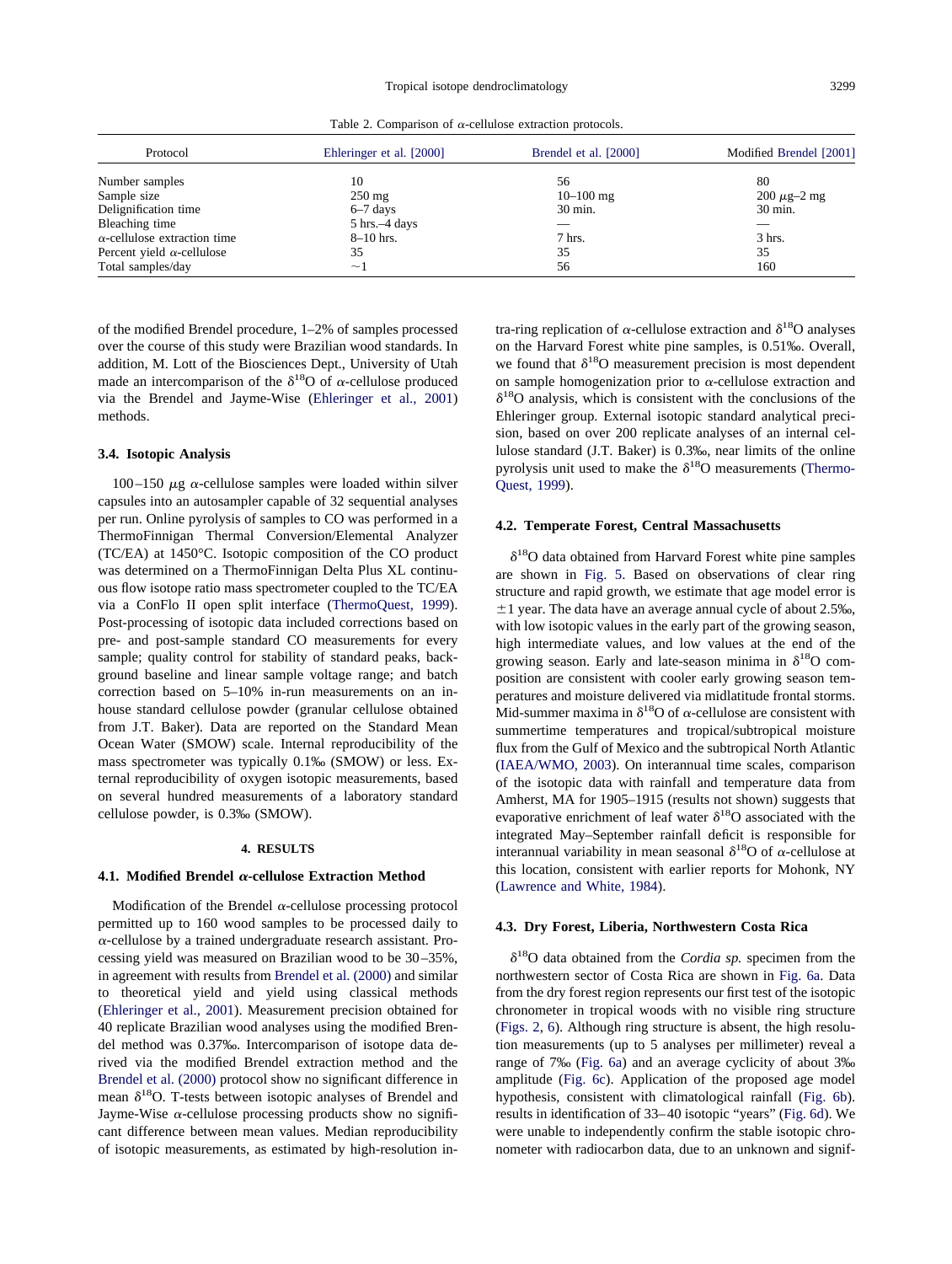Table 2. Comparison of  $\alpha$ -cellulose extraction protocols.

<span id="page-4-0"></span>

| Protocol                            | Ehleringer et al. [2000] | Brendel et al. [2000] | Modified Brendel [2001]    |  |
|-------------------------------------|--------------------------|-----------------------|----------------------------|--|
| Number samples                      | 10                       | 56                    | 80                         |  |
| Sample size                         | $250 \text{ mg}$         | $10-100$ mg           | $200 \mu g - 2 \text{ mg}$ |  |
| Delignification time                | $6-7$ days               | 30 min.               | 30 min.                    |  |
| Bleaching time                      | 5 hrs.—4 days            |                       |                            |  |
| $\alpha$ -cellulose extraction time | $8-10$ hrs.              | 7 hrs.                | $3$ hrs.                   |  |
| Percent yield $\alpha$ -cellulose   | 35                       | 35                    | 35                         |  |
| Total samples/day                   | $\sim$ 1                 | 56                    | 160                        |  |

of the modified Brendel procedure, 1–2% of samples processed over the course of this study were Brazilian wood standards. In addition, M. Lott of the Biosciences Dept., University of Utah made an intercomparison of the  $\delta^{18}$ O of  $\alpha$ -cellulose produced via the Brendel and Jayme-Wise [\(Ehleringer et al., 2001\)](#page-9-0) methods.

### **3.4. Isotopic Analysis**

100–150  $\mu$ g  $\alpha$ -cellulose samples were loaded within silver capsules into an autosampler capable of 32 sequential analyses per run. Online pyrolysis of samples to CO was performed in a ThermoFinnigan Thermal Conversion/Elemental Analyzer (TC/EA) at 1450°C. Isotopic composition of the CO product was determined on a ThermoFinnigan Delta Plus XL continuous flow isotope ratio mass spectrometer coupled to the TC/EA via a ConFlo II open split interface [\(ThermoQuest, 1999\)](#page-10-0). Post-processing of isotopic data included corrections based on pre- and post-sample standard CO measurements for every sample; quality control for stability of standard peaks, background baseline and linear sample voltage range; and batch correction based on 5–10% in-run measurements on an inhouse standard cellulose powder (granular cellulose obtained from J.T. Baker). Data are reported on the Standard Mean Ocean Water (SMOW) scale. Internal reproducibility of the mass spectrometer was typically 0.1‰ (SMOW) or less. External reproducibility of oxygen isotopic measurements, based on several hundred measurements of a laboratory standard cellulose powder, is 0.3‰ (SMOW).

# **4. RESULTS**

# **4.1. Modified Brendel**  $\alpha$ **-cellulose Extraction Method**

Modification of the Brendel  $\alpha$ -cellulose processing protocol permitted up to 160 wood samples to be processed daily to --cellulose by a trained undergraduate research assistant. Processing yield was measured on Brazilian wood to be 30–35%, in agreement with results from [Brendel et al. \(2000\)](#page-9-0) and similar to theoretical yield and yield using classical methods [\(Ehleringer et al., 2001\)](#page-9-0). Measurement precision obtained for 40 replicate Brazilian wood analyses using the modified Brendel method was 0.37‰. Intercomparison of isotope data derived via the modified Brendel extraction method and the [Brendel et al. \(2000\)](#page-9-0) protocol show no significant difference in mean  $\delta^{18}O$ . T-tests between isotopic analyses of Brendel and Jayme-Wise  $\alpha$ -cellulose processing products show no significant difference between mean values. Median reproducibility of isotopic measurements, as estimated by high-resolution in-

tra-ring replication of  $\alpha$ -cellulose extraction and  $\delta^{18}O$  analyses on the Harvard Forest white pine samples, is 0.51‰. Overall, we found that  $\delta^{18}O$  measurement precision is most dependent on sample homogenization prior to  $\alpha$ -cellulose extraction and  $\delta^{18}$ O analysis, which is consistent with the conclusions of the Ehleringer group. External isotopic standard analytical precision, based on over 200 replicate analyses of an internal cellulose standard (J.T. Baker) is 0.3‰, near limits of the online pyrolysis unit used to make the  $\delta^{18}$ O measurements [\(Thermo-](#page-10-0)[Quest, 1999\)](#page-10-0).

#### **4.2. Temperate Forest, Central Massachusetts**

 $\delta^{18}$ O data obtained from Harvard Forest white pine samples are shown in [Fig. 5.](#page-5-0) Based on observations of clear ring structure and rapid growth, we estimate that age model error is  $\pm 1$  year. The data have an average annual cycle of about 2.5‰, with low isotopic values in the early part of the growing season, high intermediate values, and low values at the end of the growing season. Early and late-season minima in  $\delta^{18}O$  composition are consistent with cooler early growing season temperatures and moisture delivered via midlatitude frontal storms. Mid-summer maxima in  $\delta^{18}O$  of  $\alpha$ -cellulose are consistent with summertime temperatures and tropical/subtropical moisture flux from the Gulf of Mexico and the subtropical North Atlantic [\(IAEA/WMO, 2003\)](#page-9-0). On interannual time scales, comparison of the isotopic data with rainfall and temperature data from Amherst, MA for 1905–1915 (results not shown) suggests that evaporative enrichment of leaf water  $\delta^{18}$ O associated with the integrated May–September rainfall deficit is responsible for interannual variability in mean seasonal  $\delta^{18}$ O of  $\alpha$ -cellulose at this location, consistent with earlier reports for Mohonk, NY [\(Lawrence and White, 1984\)](#page-9-0).

#### **4.3. Dry Forest, Liberia, Northwestern Costa Rica**

 $\delta^{18}$ O data obtained from the *Cordia sp*. specimen from the northwestern sector of Costa Rica are shown in [Fig. 6a.](#page-6-0) Data from the dry forest region represents our first test of the isotopic chronometer in tropical woods with no visible ring structure [\(Figs. 2,](#page-1-0) [6\)](#page-6-0). Although ring structure is absent, the high resolution measurements (up to 5 analyses per millimeter) reveal a range of 7‰ [\(Fig. 6a\)](#page-6-0) and an average cyclicity of about 3‰ amplitude [\(Fig. 6c\)](#page-6-0). Application of the proposed age model hypothesis, consistent with climatological rainfall [\(Fig. 6b\)](#page-6-0). results in identification of 33–40 isotopic "years" [\(Fig. 6d\)](#page-6-0). We were unable to independently confirm the stable isotopic chronometer with radiocarbon data, due to an unknown and signif-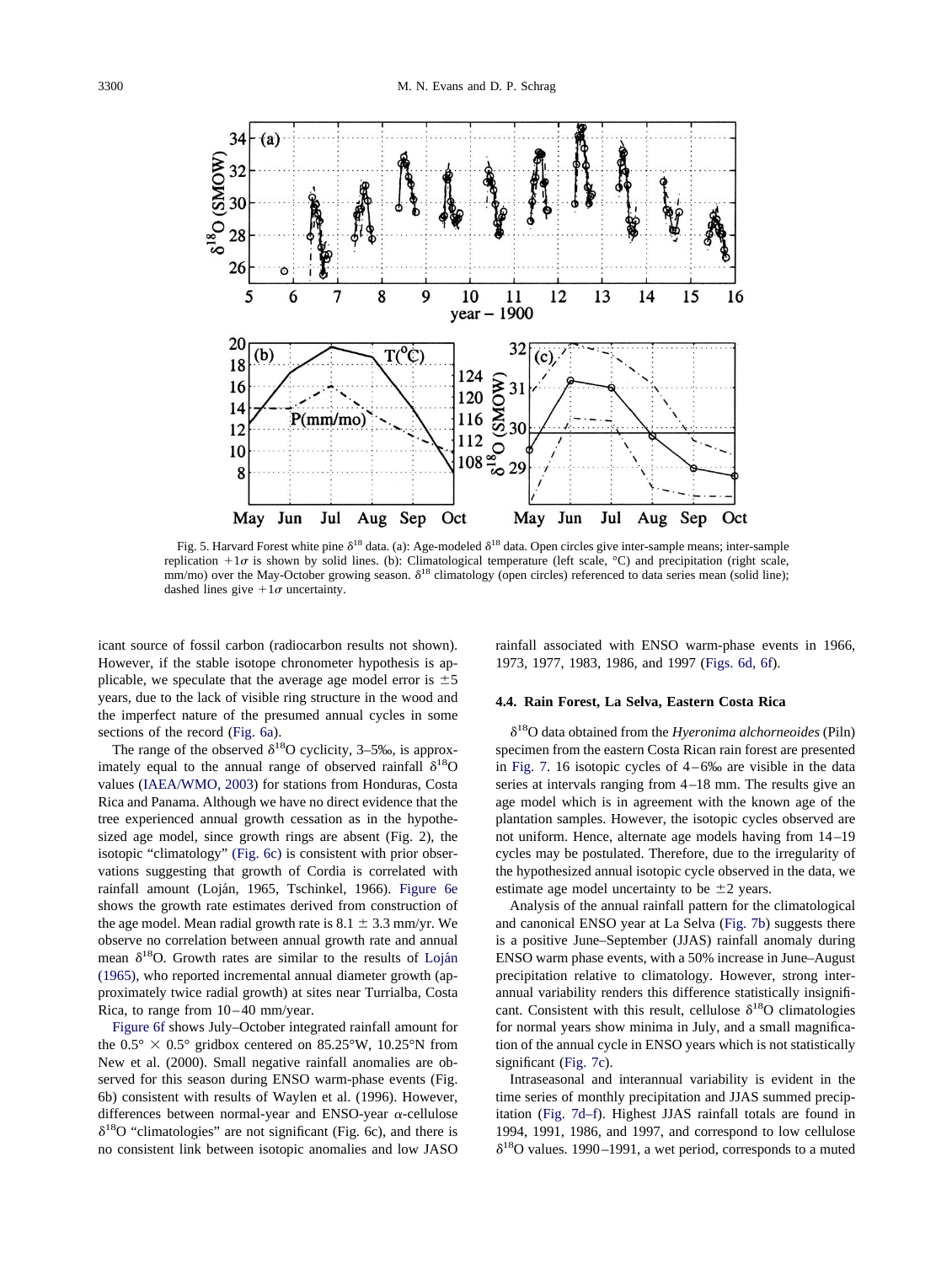<span id="page-5-0"></span>

Fig. 5. Harvard Forest white pine  $\delta^{18}$  data. (a): Age-modeled  $\delta^{18}$  data. Open circles give inter-sample means; inter-sample replication  $+1\sigma$  is shown by solid lines. (b): Climatological temperature (left scale,  $\degree$ C) and precipitation (right scale, mm/mo) over the May-October growing season.  $\delta^{18}$  climatology (open circles) referenced to data series mean (solid line); dashed lines give  $+1\sigma$  uncertainty.

icant source of fossil carbon (radiocarbon results not shown). However, if the stable isotope chronometer hypothesis is applicable, we speculate that the average age model error is  $\pm 5$ years, due to the lack of visible ring structure in the wood and the imperfect nature of the presumed annual cycles in some sections of the record [\(Fig. 6a\)](#page-6-0).

The range of the observed  $\delta^{18}$ O cyclicity, 3–5‰, is approximately equal to the annual range of observed rainfall  $\delta^{18}O$ values [\(IAEA/WMO, 2003\)](#page-9-0) for stations from Honduras, Costa Rica and Panama. Although we have no direct evidence that the tree experienced annual growth cessation as in the hypothesized age model, since growth rings are absent (Fig. 2), the isotopic "climatology" [\(Fig. 6c\)](#page-6-0) is consistent with prior observations suggesting that growth of Cordia is correlated with rainfall amount (Loján, 1965, Tschinkel, 1966). [Figure 6e](#page-6-0) shows the growth rate estimates derived from construction of the age model. Mean radial growth rate is  $8.1 \pm 3.3$  mm/yr. We observe no correlation between annual growth rate and annual mean  $\delta^{18}$ O. Growth rates are similar to the results of Loján [\(1965\),](#page-9-0) who reported incremental annual diameter growth (approximately twice radial growth) at sites near Turrialba, Costa Rica, to range from 10–40 mm/year.

[Figure 6f](#page-6-0) shows July–October integrated rainfall amount for the  $0.5^{\circ} \times 0.5^{\circ}$  gridbox centered on  $85.25^{\circ}$ W,  $10.25^{\circ}$ N from New et al. (2000). Small negative rainfall anomalies are observed for this season during ENSO warm-phase events (Fig. 6b) consistent with results of Waylen et al. (1996). However, differences between normal-year and ENSO-year  $\alpha$ -cellulose  $\delta^{18}$ O "climatologies" are not significant (Fig. 6c), and there is no consistent link between isotopic anomalies and low JASO

rainfall associated with ENSO warm-phase events in 1966, 1973, 1977, 1983, 1986, and 1997 [\(Figs. 6d, 6f\)](#page-6-0).

### **4.4. Rain Forest, La Selva, Eastern Costa Rica**

18O data obtained from the *Hyeronima alchorneoides* (Piln) specimen from the eastern Costa Rican rain forest are presented in [Fig. 7.](#page-7-0) 16 isotopic cycles of 4–6‰ are visible in the data series at intervals ranging from 4–18 mm. The results give an age model which is in agreement with the known age of the plantation samples. However, the isotopic cycles observed are not uniform. Hence, alternate age models having from 14–19 cycles may be postulated. Therefore, due to the irregularity of the hypothesized annual isotopic cycle observed in the data, we estimate age model uncertainty to be  $\pm 2$  years.

Analysis of the annual rainfall pattern for the climatological and canonical ENSO year at La Selva [\(Fig. 7b\)](#page-7-0) suggests there is a positive June–September (JJAS) rainfall anomaly during ENSO warm phase events, with a 50% increase in June–August precipitation relative to climatology. However, strong interannual variability renders this difference statistically insignificant. Consistent with this result, cellulose  $\delta^{18}$ O climatologies for normal years show minima in July, and a small magnification of the annual cycle in ENSO years which is not statistically significant [\(Fig. 7c\)](#page-7-0).

Intraseasonal and interannual variability is evident in the time series of monthly precipitation and JJAS summed precipitation [\(Fig. 7d–f\)](#page-7-0). Highest JJAS rainfall totals are found in 1994, 1991, 1986, and 1997, and correspond to low cellulose  $\delta^{18}$ O values. 1990–1991, a wet period, corresponds to a muted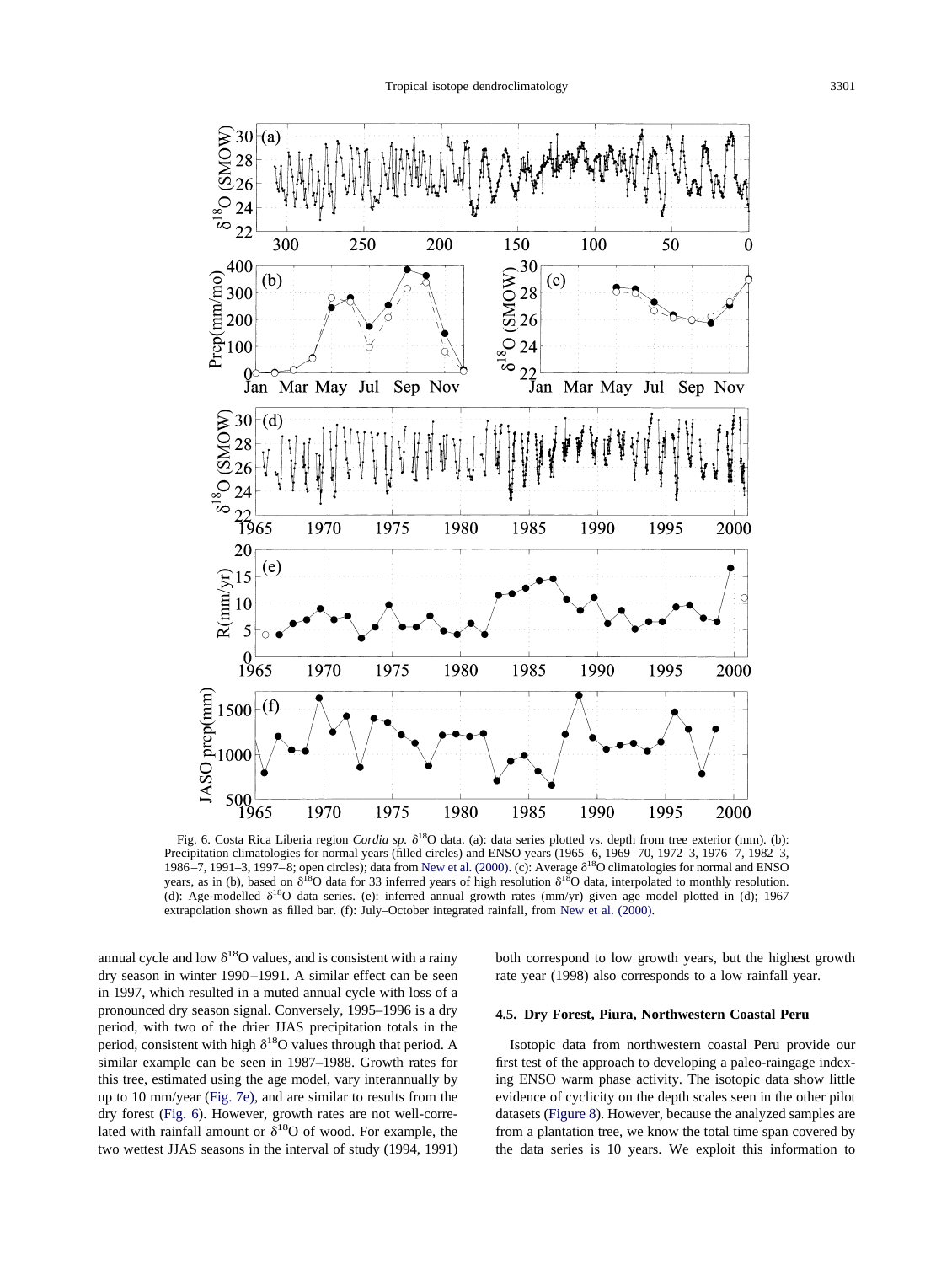<span id="page-6-0"></span>

Fig. 6. Costa Rica Liberia region *Cordia sp.*  $\delta^{18}O$  data. (a): data series plotted vs. depth from tree exterior (mm). (b): Precipitation climatologies for normal years (filled circles) and ENSO years (1965–6, 1969–70, 1972–3, 1976–7, 1982–3, 1986–7, 1991–3, 1997–8; open circles); data from [New et al. \(2000\).](#page-9-0) (c): Average  $\delta^{18}O$  climatologies for normal and ENSO years, as in (b), based on  $\delta^{18}O$  data for 33 inferred years of high resolution  $\delta^{18}O$  data, interpolated to monthly resolution. (d): Age-modelled  $\delta^{18}O$  data series. (e): inferred annual growth rates (mm/yr) given age model plotted in (d); 1967 extrapolation shown as filled bar. (f): July–October integrated rainfall, from [New et al. \(2000\).](#page-9-0)

annual cycle and low  $\delta^{18}$ O values, and is consistent with a rainy dry season in winter 1990–1991. A similar effect can be seen in 1997, which resulted in a muted annual cycle with loss of a pronounced dry season signal. Conversely, 1995–1996 is a dry period, with two of the drier JJAS precipitation totals in the period, consistent with high  $\delta^{18}O$  values through that period. A similar example can be seen in 1987–1988. Growth rates for this tree, estimated using the age model, vary interannually by up to 10 mm/year [\(Fig. 7e\),](#page-7-0) and are similar to results from the dry forest (Fig. 6). However, growth rates are not well-correlated with rainfall amount or  $\delta^{18}O$  of wood. For example, the two wettest JJAS seasons in the interval of study (1994, 1991) both correspond to low growth years, but the highest growth rate year (1998) also corresponds to a low rainfall year.

### **4.5. Dry Forest, Piura, Northwestern Coastal Peru**

Isotopic data from northwestern coastal Peru provide our first test of the approach to developing a paleo-raingage indexing ENSO warm phase activity. The isotopic data show little evidence of cyclicity on the depth scales seen in the other pilot datasets [\(Figure 8\)](#page-8-0). However, because the analyzed samples are from a plantation tree, we know the total time span covered by the data series is 10 years. We exploit this information to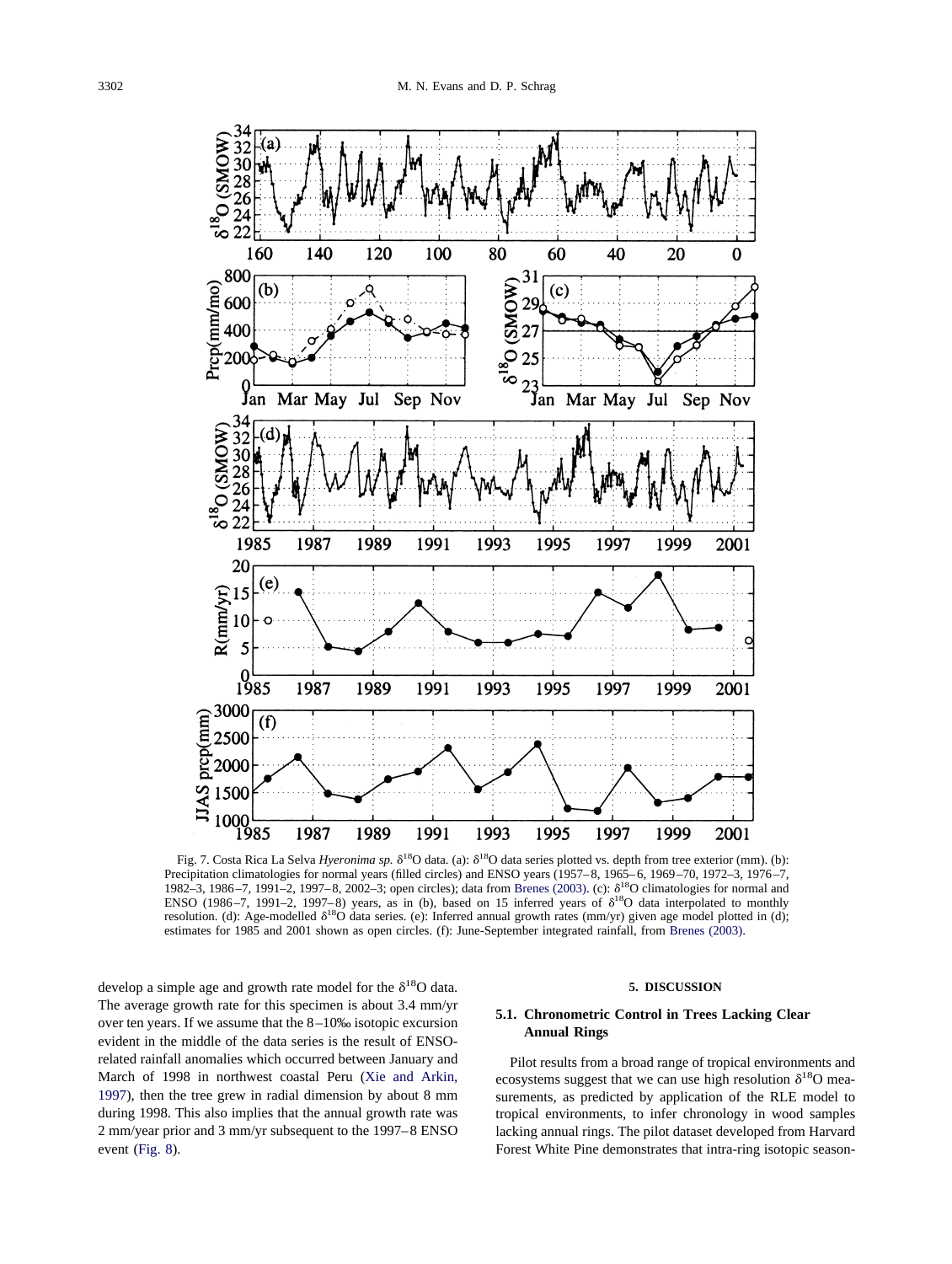<span id="page-7-0"></span>

Fig. 7. Costa Rica La Selva *Hyeronima sp.* δ<sup>18</sup>O data. (a): δ<sup>18</sup>O data series plotted vs. depth from tree exterior (mm). (b): Precipitation climatologies for normal years (filled circles) and ENSO years (1957–8, 1965–6, 1969–70, 1972–3, 1976–7, 1982–3, 1986–7, 1991–2, 1997–8, 2002–3; open circles); data from [Brenes \(2003\).](#page-9-0) (c):  $\delta^{18}$ O climatologies for normal and ENSO (1986-7, 1991-2, 1997-8) years, as in (b), based on 15 inferred years of  $\delta^{18}O$  data interpolated to monthly resolution. (d): Age-modelled  $\delta^{18}O$  data series. (e): Inferred annual growth rates (mm/yr) given age model plotted in (d); estimates for 1985 and 2001 shown as open circles. (f): June-September integrated rainfall, from [Brenes \(2003\).](#page-9-0)

develop a simple age and growth rate model for the  $\delta^{18}O$  data. The average growth rate for this specimen is about 3.4 mm/yr over ten years. If we assume that the 8–10‰ isotopic excursion evident in the middle of the data series is the result of ENSOrelated rainfall anomalies which occurred between January and March of 1998 in northwest coastal Peru [\(Xie and Arkin,](#page-10-0) [1997\)](#page-10-0), then the tree grew in radial dimension by about 8 mm during 1998. This also implies that the annual growth rate was 2 mm/year prior and 3 mm/yr subsequent to the 1997–8 ENSO event [\(Fig. 8\)](#page-8-0).

### **5. DISCUSSION**

# **5.1. Chronometric Control in Trees Lacking Clear Annual Rings**

Pilot results from a broad range of tropical environments and ecosystems suggest that we can use high resolution  $\delta^{18}O$  measurements, as predicted by application of the RLE model to tropical environments, to infer chronology in wood samples lacking annual rings. The pilot dataset developed from Harvard Forest White Pine demonstrates that intra-ring isotopic season-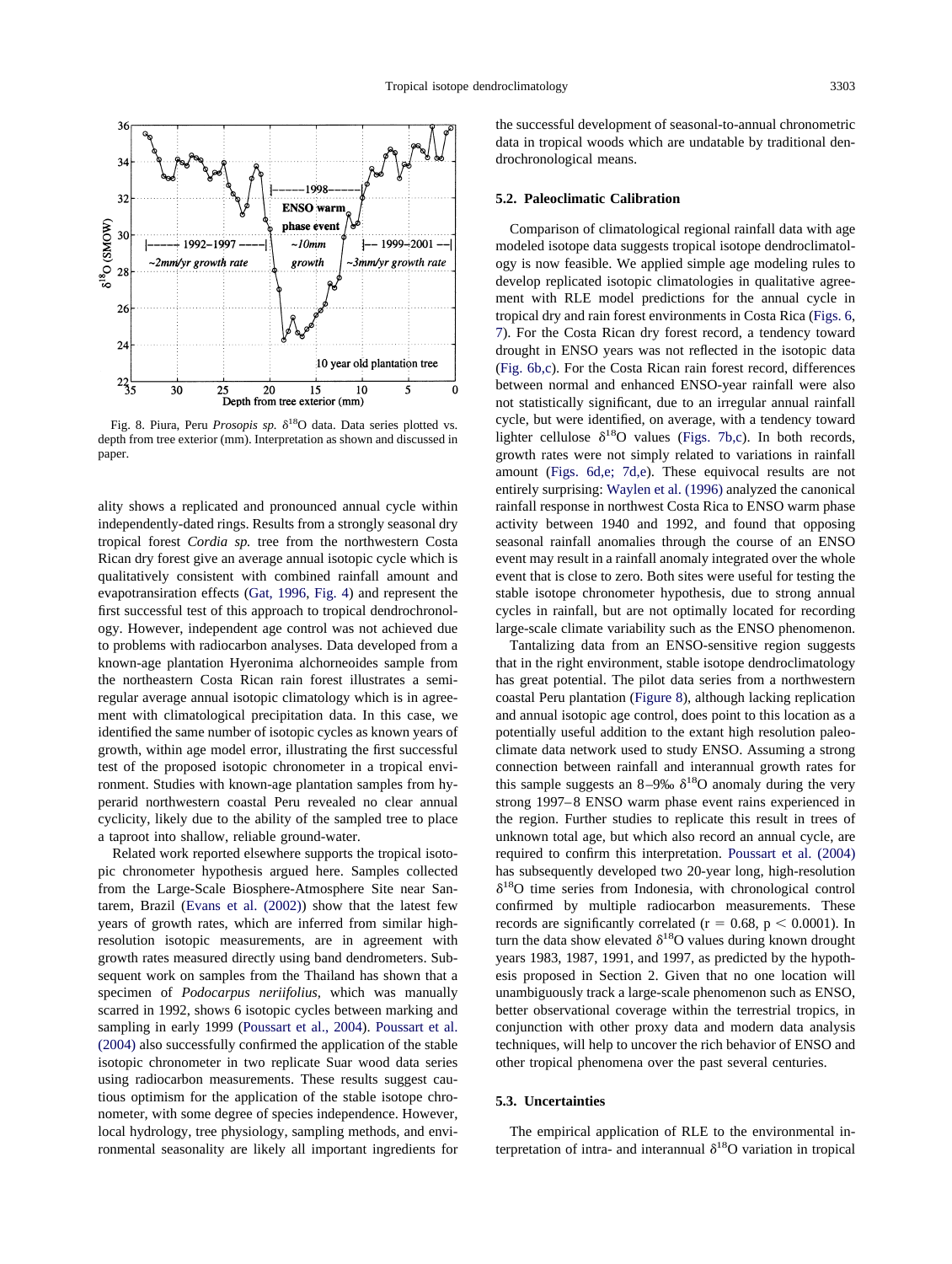<span id="page-8-0"></span>

Fig. 8. Piura, Peru *Prosopis sp.* δ<sup>18</sup>O data. Data series plotted vs. depth from tree exterior (mm). Interpretation as shown and discussed in paper.

ality shows a replicated and pronounced annual cycle within independently-dated rings. Results from a strongly seasonal dry tropical forest *Cordia sp.* tree from the northwestern Costa Rican dry forest give an average annual isotopic cycle which is qualitatively consistent with combined rainfall amount and evapotransiration effects [\(Gat, 1996,](#page-9-0) [Fig. 4\)](#page-2-0) and represent the first successful test of this approach to tropical dendrochronology. However, independent age control was not achieved due to problems with radiocarbon analyses. Data developed from a known-age plantation Hyeronima alchorneoides sample from the northeastern Costa Rican rain forest illustrates a semiregular average annual isotopic climatology which is in agreement with climatological precipitation data. In this case, we identified the same number of isotopic cycles as known years of growth, within age model error, illustrating the first successful test of the proposed isotopic chronometer in a tropical environment. Studies with known-age plantation samples from hyperarid northwestern coastal Peru revealed no clear annual cyclicity, likely due to the ability of the sampled tree to place a taproot into shallow, reliable ground-water.

Related work reported elsewhere supports the tropical isotopic chronometer hypothesis argued here. Samples collected from the Large-Scale Biosphere-Atmosphere Site near Santarem, Brazil [\(Evans et al. \(2002\)\)](#page-9-0) show that the latest few years of growth rates, which are inferred from similar highresolution isotopic measurements, are in agreement with growth rates measured directly using band dendrometers. Subsequent work on samples from the Thailand has shown that a specimen of *Podocarpus neriifolius,* which was manually scarred in 1992, shows 6 isotopic cycles between marking and sampling in early 1999 [\(Poussart et al., 2004\)](#page-9-0). [Poussart et al.](#page-9-0) [\(2004\)](#page-9-0) also successfully confirmed the application of the stable isotopic chronometer in two replicate Suar wood data series using radiocarbon measurements. These results suggest cautious optimism for the application of the stable isotope chronometer, with some degree of species independence. However, local hydrology, tree physiology, sampling methods, and environmental seasonality are likely all important ingredients for the successful development of seasonal-to-annual chronometric data in tropical woods which are undatable by traditional dendrochronological means.

### **5.2. Paleoclimatic Calibration**

Comparison of climatological regional rainfall data with age modeled isotope data suggests tropical isotope dendroclimatology is now feasible. We applied simple age modeling rules to develop replicated isotopic climatologies in qualitative agreement with RLE model predictions for the annual cycle in tropical dry and rain forest environments in Costa Rica [\(Figs. 6,](#page-6-0) [7\)](#page-7-0). For the Costa Rican dry forest record, a tendency toward drought in ENSO years was not reflected in the isotopic data [\(Fig. 6b,c\)](#page-6-0). For the Costa Rican rain forest record, differences between normal and enhanced ENSO-year rainfall were also not statistically significant, due to an irregular annual rainfall cycle, but were identified, on average, with a tendency toward lighter cellulose  $\delta^{18}O$  values [\(Figs. 7b,c\)](#page-7-0). In both records, growth rates were not simply related to variations in rainfall amount [\(Figs. 6d,e; 7d,e\)](#page-7-0). These equivocal results are not entirely surprising: [Waylen et al. \(1996\)](#page-10-0) analyzed the canonical rainfall response in northwest Costa Rica to ENSO warm phase activity between 1940 and 1992, and found that opposing seasonal rainfall anomalies through the course of an ENSO event may result in a rainfall anomaly integrated over the whole event that is close to zero. Both sites were useful for testing the stable isotope chronometer hypothesis, due to strong annual cycles in rainfall, but are not optimally located for recording large-scale climate variability such as the ENSO phenomenon.

Tantalizing data from an ENSO-sensitive region suggests that in the right environment, stable isotope dendroclimatology has great potential. The pilot data series from a northwestern coastal Peru plantation (Figure 8), although lacking replication and annual isotopic age control, does point to this location as a potentially useful addition to the extant high resolution paleoclimate data network used to study ENSO. Assuming a strong connection between rainfall and interannual growth rates for this sample suggests an  $8-9\%$   $\delta^{18}$ O anomaly during the very strong 1997–8 ENSO warm phase event rains experienced in the region. Further studies to replicate this result in trees of unknown total age, but which also record an annual cycle, are required to confirm this interpretation. [Poussart et al. \(2004\)](#page-9-0) has subsequently developed two 20-year long, high-resolution  $\delta^{18}$ O time series from Indonesia, with chronological control confirmed by multiple radiocarbon measurements. These records are significantly correlated ( $r = 0.68$ ,  $p < 0.0001$ ). In turn the data show elevated  $\delta^{18}$ O values during known drought years 1983, 1987, 1991, and 1997, as predicted by the hypothesis proposed in Section 2. Given that no one location will unambiguously track a large-scale phenomenon such as ENSO, better observational coverage within the terrestrial tropics, in conjunction with other proxy data and modern data analysis techniques, will help to uncover the rich behavior of ENSO and other tropical phenomena over the past several centuries.

#### **5.3. Uncertainties**

The empirical application of RLE to the environmental interpretation of intra- and interannual  $\delta^{18}O$  variation in tropical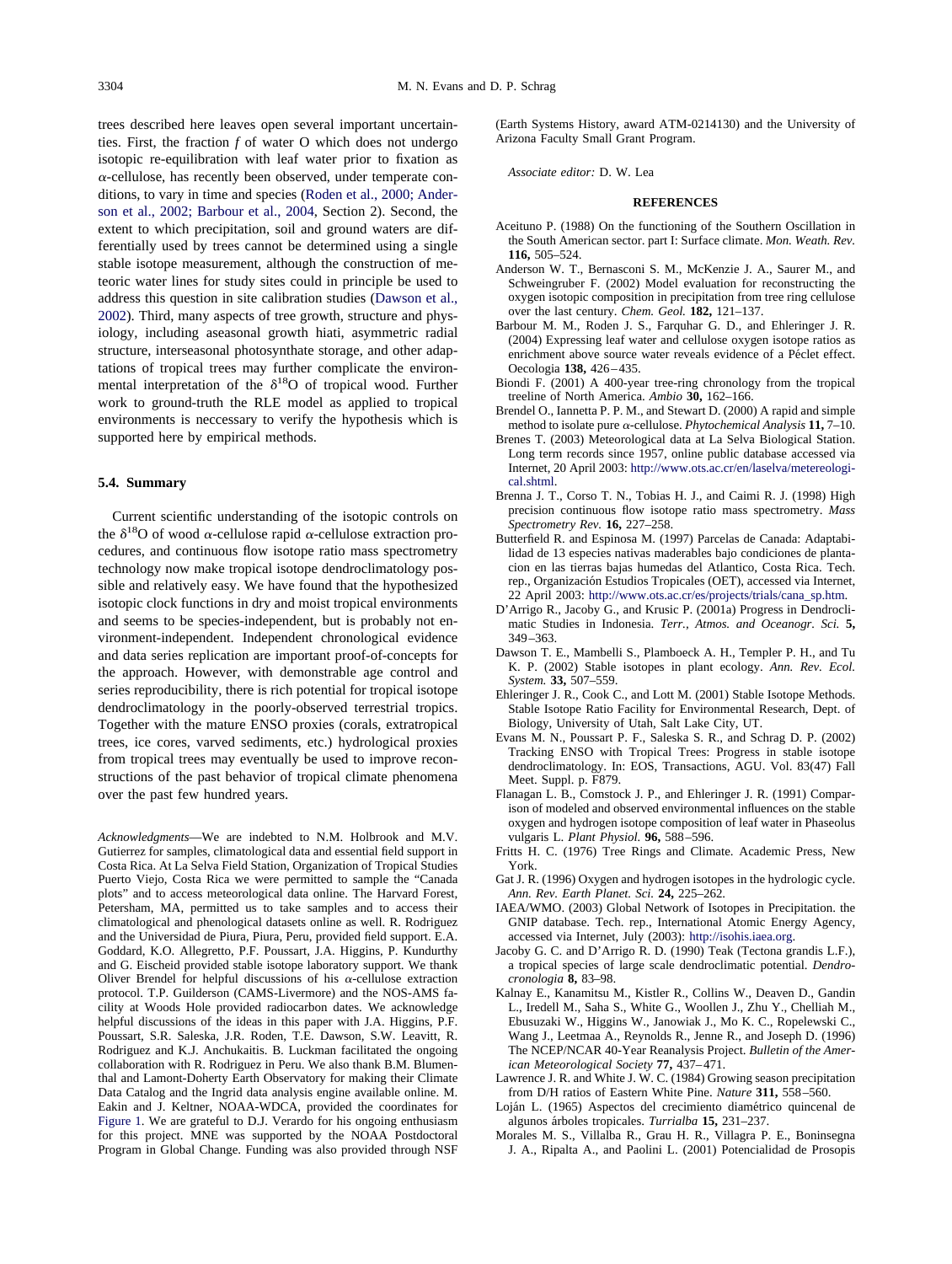<span id="page-9-0"></span>trees described here leaves open several important uncertainties. First, the fraction *f* of water O which does not undergo isotopic re-equilibration with leaf water prior to fixation as --cellulose, has recently been observed, under temperate conditions, to vary in time and species [\(Roden et al., 2000; Ander](#page-10-0)[son et al., 2002; Barbour et al., 2004,](#page-10-0) Section 2). Second, the extent to which precipitation, soil and ground waters are differentially used by trees cannot be determined using a single stable isotope measurement, although the construction of meteoric water lines for study sites could in principle be used to address this question in site calibration studies (Dawson et al., 2002). Third, many aspects of tree growth, structure and physiology, including aseasonal growth hiati, asymmetric radial structure, interseasonal photosynthate storage, and other adaptations of tropical trees may further complicate the environmental interpretation of the  $\delta^{18}O$  of tropical wood. Further work to ground-truth the RLE model as applied to tropical environments is neccessary to verify the hypothesis which is supported here by empirical methods.

### **5.4. Summary**

Current scientific understanding of the isotopic controls on the  $\delta^{18}$ O of wood  $\alpha$ -cellulose rapid  $\alpha$ -cellulose extraction procedures, and continuous flow isotope ratio mass spectrometry technology now make tropical isotope dendroclimatology possible and relatively easy. We have found that the hypothesized isotopic clock functions in dry and moist tropical environments and seems to be species-independent, but is probably not environment-independent. Independent chronological evidence and data series replication are important proof-of-concepts for the approach. However, with demonstrable age control and series reproducibility, there is rich potential for tropical isotope dendroclimatology in the poorly-observed terrestrial tropics. Together with the mature ENSO proxies (corals, extratropical trees, ice cores, varved sediments, etc.) hydrological proxies from tropical trees may eventually be used to improve reconstructions of the past behavior of tropical climate phenomena over the past few hundred years.

*Acknowledgments*—We are indebted to N.M. Holbrook and M.V. Gutierrez for samples, climatological data and essential field support in Costa Rica. At La Selva Field Station, Organization of Tropical Studies Puerto Viejo, Costa Rica we were permitted to sample the "Canada plots" and to access meteorological data online. The Harvard Forest, Petersham, MA, permitted us to take samples and to access their climatological and phenological datasets online as well. R. Rodriguez and the Universidad de Piura, Piura, Peru, provided field support. E.A. Goddard, K.O. Allegretto, P.F. Poussart, J.A. Higgins, P. Kundurthy and G. Eischeid provided stable isotope laboratory support. We thank Oliver Brendel for helpful discussions of his  $\alpha$ -cellulose extraction protocol. T.P. Guilderson (CAMS-Livermore) and the NOS-AMS facility at Woods Hole provided radiocarbon dates. We acknowledge helpful discussions of the ideas in this paper with J.A. Higgins, P.F. Poussart, S.R. Saleska, J.R. Roden, T.E. Dawson, S.W. Leavitt, R. Rodriguez and K.J. Anchukaitis. B. Luckman facilitated the ongoing collaboration with R. Rodriguez in Peru. We also thank B.M. Blumenthal and Lamont-Doherty Earth Observatory for making their Climate Data Catalog and the Ingrid data analysis engine available online. M. Eakin and J. Keltner, NOAA-WDCA, provided the coordinates for [Figure 1.](#page-1-0) We are grateful to D.J. Verardo for his ongoing enthusiasm for this project. MNE was supported by the NOAA Postdoctoral Program in Global Change. Funding was also provided through NSF

(Earth Systems History, award ATM-0214130) and the University of Arizona Faculty Small Grant Program.

*Associate editor:* D. W. Lea

### **REFERENCES**

- Aceituno P. (1988) On the functioning of the Southern Oscillation in the South American sector. part I: Surface climate. *Mon. Weath. Rev.* **116,** 505–524.
- Anderson W. T., Bernasconi S. M., McKenzie J. A., Saurer M., and Schweingruber F. (2002) Model evaluation for reconstructing the oxygen isotopic composition in precipitation from tree ring cellulose over the last century. *Chem. Geol.* **182,** 121–137.
- Barbour M. M., Roden J. S., Farquhar G. D., and Ehleringer J. R. (2004) Expressing leaf water and cellulose oxygen isotope ratios as enrichment above source water reveals evidence of a Péclet effect. Oecologia **138,** 426–435.
- Biondi F. (2001) A 400-year tree-ring chronology from the tropical treeline of North America. *Ambio* **30,** 162–166.
- Brendel O., Iannetta P. P. M., and Stewart D. (2000) A rapid and simple method to isolate pure α-cellulose. *Phytochemical Analysis* 11, 7-10.
- Brenes T. (2003) Meteorological data at La Selva Biological Station. Long term records since 1957, online public database accessed via Internet, 20 April 2003: [http://www.ots.ac.cr/en/laselva/metereologi](http://www.ots.ac.cr/en/laselva/metereological.shtml)[cal.shtml.](http://www.ots.ac.cr/en/laselva/metereological.shtml)
- Brenna J. T., Corso T. N., Tobias H. J., and Caimi R. J. (1998) High precision continuous flow isotope ratio mass spectrometry. *Mass Spectrometry Rev.* **16,** 227–258.
- Butterfield R. and Espinosa M. (1997) Parcelas de Canada: Adaptabilidad de 13 especies nativas maderables bajo condiciones de plantacion en las tierras bajas humedas del Atlantico, Costa Rica. Tech. rep., Organización Estudios Tropicales (OET), accessed via Internet, 22 April 2003: [http://www.ots.ac.cr/es/projects/trials/cana\\_sp.htm.](http://www.ots.ac.cr/es/projects/trials/cana_sp.htm)
- D'Arrigo R., Jacoby G., and Krusic P. (2001a) Progress in Dendroclimatic Studies in Indonesia. *Terr., Atmos. and Oceanogr. Sci.* **5,** 349–363.
- Dawson T. E., Mambelli S., Plamboeck A. H., Templer P. H., and Tu K. P. (2002) Stable isotopes in plant ecology. *Ann. Rev. Ecol. System.* **33,** 507–559.
- Ehleringer J. R., Cook C., and Lott M. (2001) Stable Isotope Methods. Stable Isotope Ratio Facility for Environmental Research, Dept. of Biology, University of Utah, Salt Lake City, UT.
- Evans M. N., Poussart P. F., Saleska S. R., and Schrag D. P. (2002) Tracking ENSO with Tropical Trees: Progress in stable isotope dendroclimatology. In: EOS, Transactions, AGU. Vol. 83(47) Fall Meet. Suppl. p. F879.
- Flanagan L. B., Comstock J. P., and Ehleringer J. R. (1991) Comparison of modeled and observed environmental influences on the stable oxygen and hydrogen isotope composition of leaf water in Phaseolus vulgaris L. *Plant Physiol.* **96,** 588–596.
- Fritts H. C. (1976) Tree Rings and Climate. Academic Press, New York.
- Gat J. R. (1996) Oxygen and hydrogen isotopes in the hydrologic cycle. *Ann. Rev. Earth Planet. Sci.* **24,** 225–262.
- IAEA/WMO. (2003) Global Network of Isotopes in Precipitation. the GNIP database. Tech. rep., International Atomic Energy Agency, accessed via Internet, July (2003): [http://isohis.iaea.org.](http://isohis.iaea.org)
- Jacoby G. C. and D'Arrigo R. D. (1990) Teak (Tectona grandis L.F.), a tropical species of large scale dendroclimatic potential. *Dendrocronologia* **8,** 83–98.
- Kalnay E., Kanamitsu M., Kistler R., Collins W., Deaven D., Gandin L., Iredell M., Saha S., White G., Woollen J., Zhu Y., Chelliah M., Ebusuzaki W., Higgins W., Janowiak J., Mo K. C., Ropelewski C., Wang J., Leetmaa A., Reynolds R., Jenne R., and Joseph D. (1996) The NCEP/NCAR 40-Year Reanalysis Project. *Bulletin of the American Meteorological Society* **77,** 437–471.
- Lawrence J. R. and White J. W. C. (1984) Growing season precipitation from D/H ratios of Eastern White Pine. *Nature* **311,** 558–560.
- Loján L. (1965) Aspectos del crecimiento diamétrico quincenal de algunos a´rboles tropicales. *Turrialba* **15,** 231–237.
- Morales M. S., Villalba R., Grau H. R., Villagra P. E., Boninsegna J. A., Ripalta A., and Paolini L. (2001) Potencialidad de Prosopis